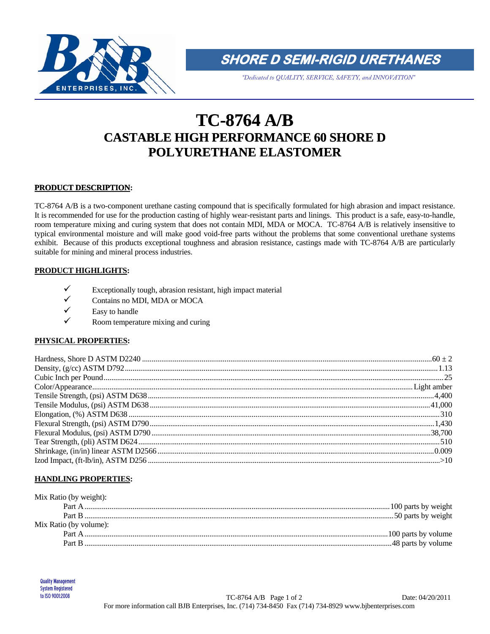

**SHORE D SEMI-RIGID URETHANES** 

*"Dedicated to QUALITY, SERVICE, SAFETY, and INNOVATION"*

# **TC-8764 A/B CASTABLE HIGH PERFORMANCE 60 SHORE D POLYURETHANE ELASTOMER**

# **PRODUCT DESCRIPTION:**

TC-8764 A/B is a two-component urethane casting compound that is specifically formulated for high abrasion and impact resistance. It is recommended for use for the production casting of highly wear-resistant parts and linings. This product is a safe, easy-to-handle, room temperature mixing and curing system that does not contain MDI, MDA or MOCA. TC-8764 A/B is relatively insensitive to typical environmental moisture and will make good void-free parts without the problems that some conventional urethane systems exhibit. Because of this products exceptional toughness and abrasion resistance, castings made with TC-8764 A/B are particularly suitable for mining and mineral process industries.

## **PRODUCT HIGHLIGHTS:**

- Exceptionally tough, abrasion resistant, high impact material  $\angle$  Contains no MDI MDA or MOCA
- Contains no MDI, MDA or MOCA
- $\checkmark$  Easy to handle
- Room temperature mixing and curing

# **PHYSICAL PROPERTIES:**

## **HANDLING PROPERTIES:**

| Mix Ratio (by weight): |  |
|------------------------|--|
|                        |  |
|                        |  |
| Mix Ratio (by volume): |  |
| Part A                 |  |
|                        |  |